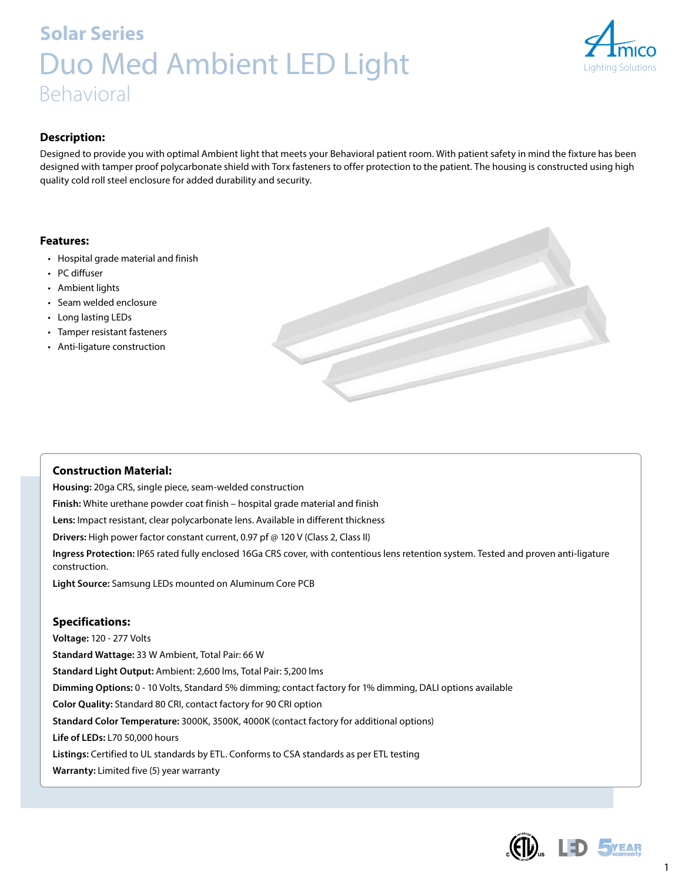# **Solar Series** Duo Med Ambient LED Light Behavioral



### **Description:**

Designed to provide you with optimal Ambient light that meets your Behavioral patient room. With patient safety in mind the fixture has been designed with tamper proof polycarbonate shield with Torx fasteners to offer protection to the patient. The housing is constructed using high quality cold roll steel enclosure for added durability and security.

#### **Features:**

- Hospital grade material and finish
- PC diffuser
- Ambient lights
- Seam welded enclosure
- Long lasting LEDs
- Tamper resistant fasteners
- Anti-ligature construction



#### **Construction Material:**

**Housing:** 20ga CRS, single piece, seam-welded construction **Finish:** White urethane powder coat finish – hospital grade material and finish **Lens:** Impact resistant, clear polycarbonate lens. Available in different thickness **Drivers:** High power factor constant current, 0.97 pf @ 120 V (Class 2, Class II) **Ingress Protection:** IP65 rated fully enclosed 16Ga CRS cover, with contentious lens retention system. Tested and proven anti-ligature construction. **Light Source:** Samsung LEDs mounted on Aluminum Core PCB

#### **Specifications:**

**Voltage:** 120 - 277 Volts **Standard Wattage:** 33 W Ambient, Total Pair: 66 W **Standard Light Output:** Ambient: 2,600 lms, Total Pair: 5,200 lms **Dimming Options:** 0 - 10 Volts, Standard 5% dimming; contact factory for 1% dimming, DALI options available **Color Quality:** Standard 80 CRI, contact factory for 90 CRI option **Standard Color Temperature:** 3000K, 3500K, 4000K (contact factory for additional options) **Life of LEDs:** L70 50,000 hours **Listings:** Certified to UL standards by ETL. Conforms to CSA standards as per ETL testing **Warranty:** Limited five (5) year warranty



1